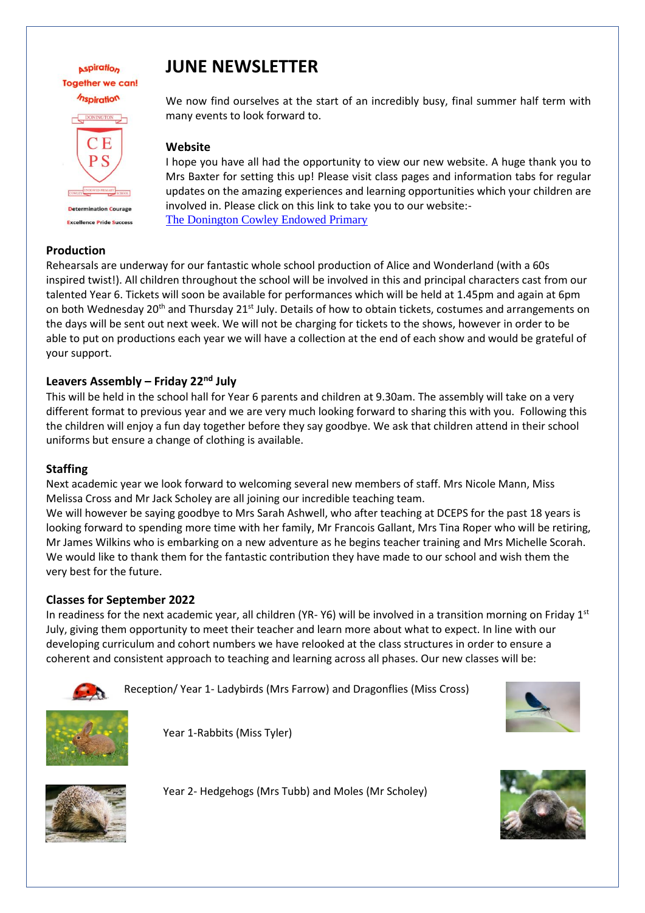## **Aspiration Together we can!** *Inspiration* DONINGTON CЕ  $P S$ **Determination Courage Excellence Pride Success**

#### **Production**

# **JUNE NEWSLETTER**

We now find ourselves at the start of an incredibly busy, final summer half term with many events to look forward to.

#### **Website**

I hope you have all had the opportunity to view our new website. A huge thank you to Mrs Baxter for setting this up! Please visit class pages and information tabs for regular updates on the amazing experiences and learning opportunities which your children are involved in. Please click on this link to take you to our website:- [The Donington Cowley Endowed Primary](https://www.cowley.lincs.sch.uk/web)

Rehearsals are underway for our fantastic whole school production of Alice and Wonderland (with a 60s inspired twist!). All children throughout the school will be involved in this and principal characters cast from our talented Year 6. Tickets will soon be available for performances which will be held at 1.45pm and again at 6pm on both Wednesday 20<sup>th</sup> and Thursday 21<sup>st</sup> July. Details of how to obtain tickets, costumes and arrangements on the days will be sent out next week. We will not be charging for tickets to the shows, however in order to be able to put on productions each year we will have a collection at the end of each show and would be grateful of your support.

#### **Leavers Assembly – Friday 22nd July**

This will be held in the school hall for Year 6 parents and children at 9.30am. The assembly will take on a very different format to previous year and we are very much looking forward to sharing this with you. Following this the children will enjoy a fun day together before they say goodbye. We ask that children attend in their school uniforms but ensure a change of clothing is available.

#### **Staffing**

Next academic year we look forward to welcoming several new members of staff. Mrs Nicole Mann, Miss Melissa Cross and Mr Jack Scholey are all joining our incredible teaching team.

We will however be saying goodbye to Mrs Sarah Ashwell, who after teaching at DCEPS for the past 18 years is looking forward to spending more time with her family, Mr Francois Gallant, Mrs Tina Roper who will be retiring, Mr James Wilkins who is embarking on a new adventure as he begins teacher training and Mrs Michelle Scorah. We would like to thank them for the fantastic contribution they have made to our school and wish them the very best for the future.

#### **Classes for September 2022**

In readiness for the next academic year, all children (YR-Y6) will be involved in a transition morning on Friday  $1<sup>st</sup>$ July, giving them opportunity to meet their teacher and learn more about what to expect. In line with our developing curriculum and cohort numbers we have relooked at the class structures in order to ensure a coherent and consistent approach to teaching and learning across all phases. Our new classes will be:



Reception/ Year 1- Ladybirds (Mrs Farrow) and Dragonflies (Miss Cross)





Year 1-Rabbits (Miss Tyler)



Year 2- Hedgehogs (Mrs Tubb) and Moles (Mr Scholey)